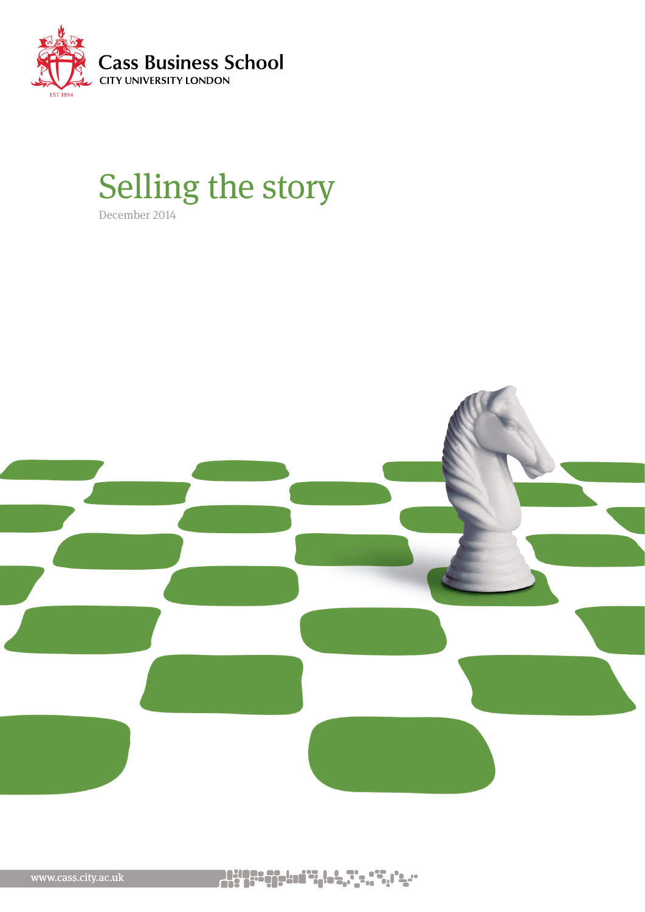

# Selling the story

December 2014



na an aisgean airs an an aisgea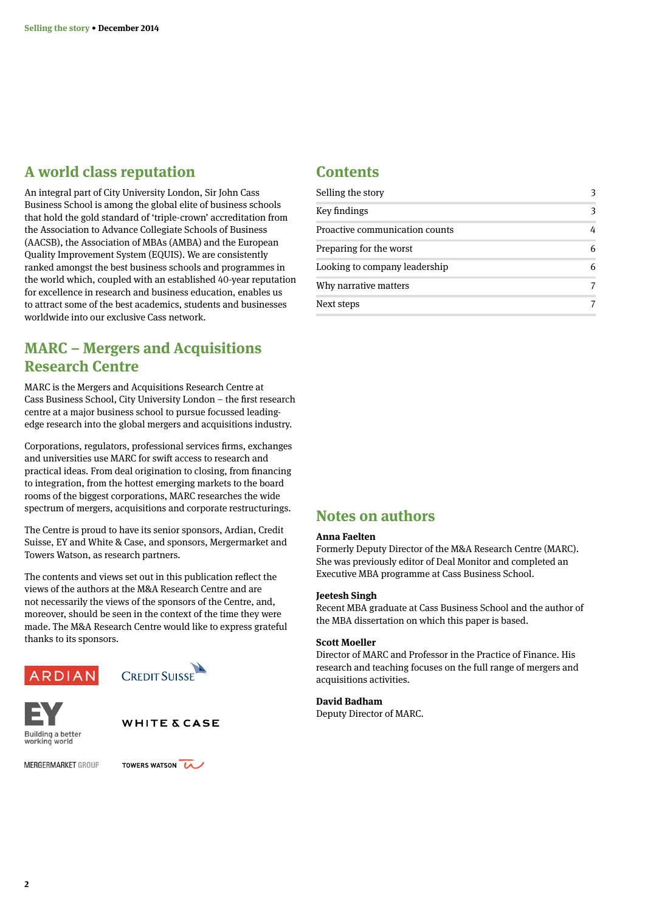# **A world class reputation**

An integral part of City University London, Sir John Cass Business School is among the global elite of business schools that hold the gold standard of 'triple-crown' accreditation from the Association to Advance Collegiate Schools of Business (AACSB), the Association of MBAs (AMBA) and the European Quality Improvement System (EQUIS). We are consistently ranked amongst the best business schools and programmes in the world which, coupled with an established 40-year reputation for excellence in research and business education, enables us to attract some of the best academics, students and businesses worldwide into our exclusive Cass network.

# **MARC – Mergers and Acquisitions Research Centre**

MARC is the Mergers and Acquisitions Research Centre at Cass Business School, City University London – the first research centre at a major business school to pursue focussed leadingedge research into the global mergers and acquisitions industry.

Corporations, regulators, professional services firms, exchanges and universities use MARC for swift access to research and practical ideas. From deal origination to closing, from financing to integration, from the hottest emerging markets to the board rooms of the biggest corporations, MARC researches the wide spectrum of mergers, acquisitions and corporate restructurings.

The Centre is proud to have its senior sponsors, Ardian, Credit Suisse, EY and White & Case, and sponsors, Mergermarket and Towers Watson, as research partners.

The contents and views set out in this publication reflect the views of the authors at the M&A Research Centre and are not necessarily the views of the sponsors of the Centre, and, moreover, should be seen in the context of the time they were made. The M&A Research Centre would like to express grateful thanks to its sponsors.









**WHITE & CASE** 

**MERGERMARKET GROUP** 

TOWERS WATSON

## **Contents**

| Selling the story              |   |
|--------------------------------|---|
| Key findings                   | 3 |
| Proactive communication counts | 4 |
| Preparing for the worst        |   |
| Looking to company leadership  |   |
| Why narrative matters          |   |
| Next steps                     |   |

### **Notes on authors**

#### **Anna Faelten**

Formerly Deputy Director of the M&A Research Centre (MARC). She was previously editor of Deal Monitor and completed an Executive MBA programme at Cass Business School.

#### **Jeetesh Singh**

Recent MBA graduate at Cass Business School and the author of the MBA dissertation on which this paper is based.

#### **Scott Moeller**

Director of MARC and Professor in the Practice of Finance. His research and teaching focuses on the full range of mergers and acquisitions activities.

#### **David Badham**

Deputy Director of MARC.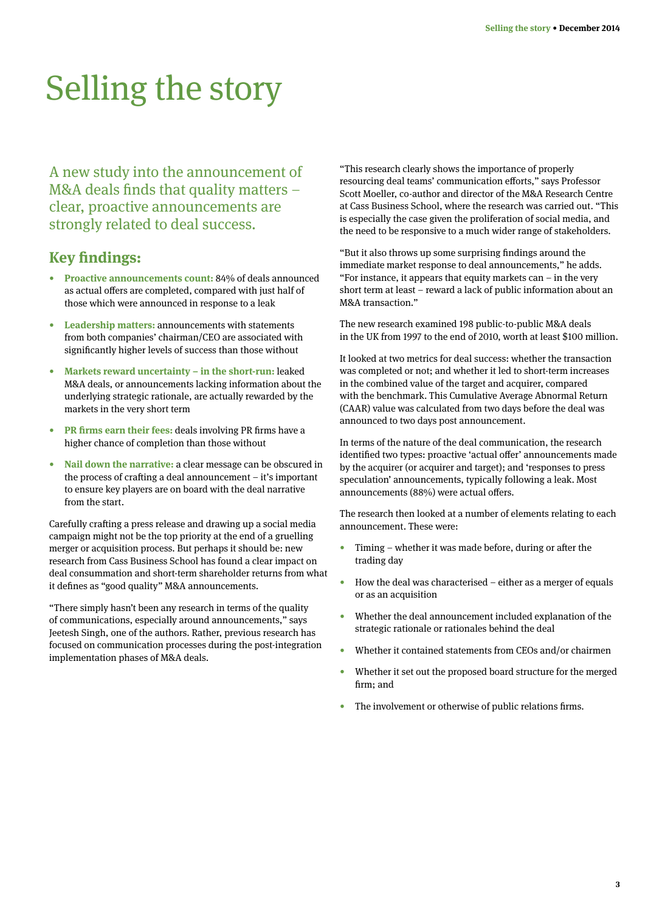# Selling the story

A new study into the announcement of M&A deals finds that quality matters – clear, proactive announcements are strongly related to deal success.

## **Key findings:**

- **Proactive announcements count:** 84% of deals announced as actual offers are completed, compared with just half of those which were announced in response to a leak
- **Leadership matters:** announcements with statements from both companies' chairman/CEO are associated with significantly higher levels of success than those without
- **Markets reward uncertainty in the short-run:** leaked M&A deals, or announcements lacking information about the underlying strategic rationale, are actually rewarded by the markets in the very short term
- **PR firms earn their fees:** deals involving PR firms have a higher chance of completion than those without
- **Nail down the narrative:** a clear message can be obscured in the process of crafting a deal announcement – it's important to ensure key players are on board with the deal narrative from the start.

Carefully crafting a press release and drawing up a social media campaign might not be the top priority at the end of a gruelling merger or acquisition process. But perhaps it should be: new research from Cass Business School has found a clear impact on deal consummation and short-term shareholder returns from what it defines as "good quality" M&A announcements.

"There simply hasn't been any research in terms of the quality of communications, especially around announcements," says Jeetesh Singh, one of the authors. Rather, previous research has focused on communication processes during the post-integration implementation phases of M&A deals.

"This research clearly shows the importance of properly resourcing deal teams' communication efforts," says Professor Scott Moeller, co-author and director of the M&A Research Centre at Cass Business School, where the research was carried out. "This is especially the case given the proliferation of social media, and the need to be responsive to a much wider range of stakeholders.

"But it also throws up some surprising findings around the immediate market response to deal announcements," he adds. "For instance, it appears that equity markets can – in the very short term at least – reward a lack of public information about an M&A transaction."

The new research examined 198 public-to-public M&A deals in the UK from 1997 to the end of 2010, worth at least \$100 million.

It looked at two metrics for deal success: whether the transaction was completed or not; and whether it led to short-term increases in the combined value of the target and acquirer, compared with the benchmark. This Cumulative Average Abnormal Return (CAAR) value was calculated from two days before the deal was announced to two days post announcement.

In terms of the nature of the deal communication, the research identified two types: proactive 'actual offer' announcements made by the acquirer (or acquirer and target); and 'responses to press speculation' announcements, typically following a leak. Most announcements (88%) were actual offers.

The research then looked at a number of elements relating to each announcement. These were:

- **•** Timing whether it was made before, during or after the trading day
- **•** How the deal was characterised either as a merger of equals or as an acquisition
- **•** Whether the deal announcement included explanation of the strategic rationale or rationales behind the deal
- **•** Whether it contained statements from CEOs and/or chairmen
- **•** Whether it set out the proposed board structure for the merged firm; and
- **•** The involvement or otherwise of public relations firms.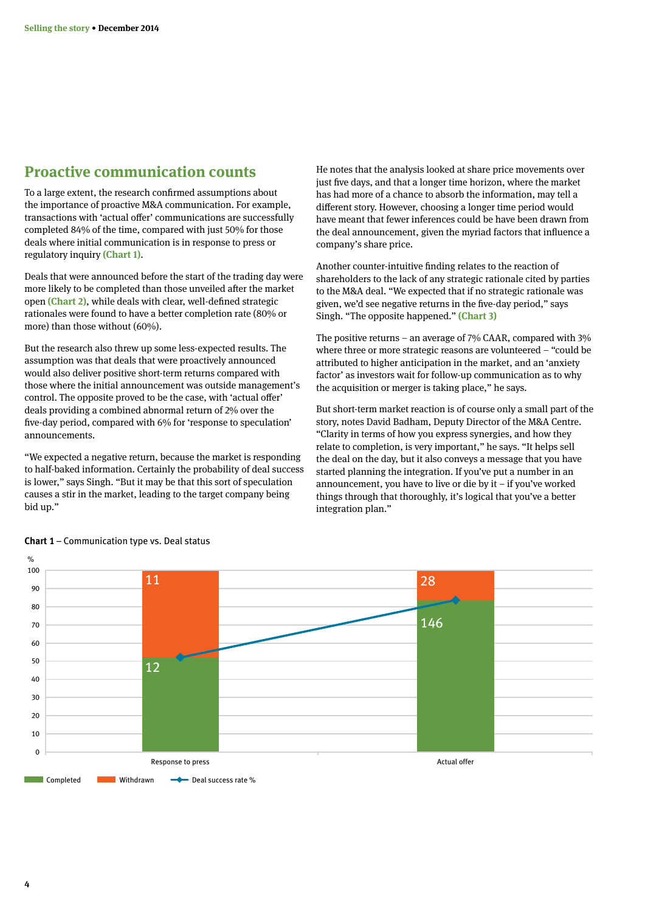## **Proactive communication counts**

To a large extent, the research confirmed assumptions about the importance of proactive M&A communication. For example, transactions with 'actual offer' communications are successfully completed 84% of the time, compared with just 50% for those deals where initial communication is in response to press or regulatory inquiry **(Chart 1)**.

Deals that were announced before the start of the trading day were more likely to be completed than those unveiled after the market open **(Chart 2)**, while deals with clear, well-defined strategic rationales were found to have a better completion rate (80% or more) than those without (60%).

But the research also threw up some less-expected results. The assumption was that deals that were proactively announced would also deliver positive short-term returns compared with those where the initial announcement was outside management's control. The opposite proved to be the case, with 'actual offer' deals providing a combined abnormal return of 2% over the five-day period, compared with 6% for 'response to speculation' announcements.

"We expected a negative return, because the market is responding to half-baked information. Certainly the probability of deal success is lower," says Singh. "But it may be that this sort of speculation causes a stir in the market, leading to the target company being bid up."

He notes that the analysis looked at share price movements over just five days, and that a longer time horizon, where the market has had more of a chance to absorb the information, may tell a different story. However, choosing a longer time period would have meant that fewer inferences could be have been drawn from the deal announcement, given the myriad factors that influence a company's share price.

Another counter-intuitive finding relates to the reaction of shareholders to the lack of any strategic rationale cited by parties to the M&A deal. "We expected that if no strategic rationale was given, we'd see negative returns in the five-day period," says Singh. "The opposite happened." **(Chart 3)**

The positive returns – an average of  $7\%$  CAAR, compared with  $3\%$ where three or more strategic reasons are volunteered – "could be attributed to higher anticipation in the market, and an 'anxiety factor' as investors wait for follow-up communication as to why the acquisition or merger is taking place," he says.

But short-term market reaction is of course only a small part of the story, notes David Badham, Deputy Director of the M&A Centre. "Clarity in terms of how you express synergies, and how they relate to completion, is very important," he says. "It helps sell the deal on the day, but it also conveys a message that you have started planning the integration. If you've put a number in an announcement, you have to live or die by it – if you've worked things through that thoroughly, it's logical that you've a better integration plan."



#### **Chart 1** – Communication type vs. Deal status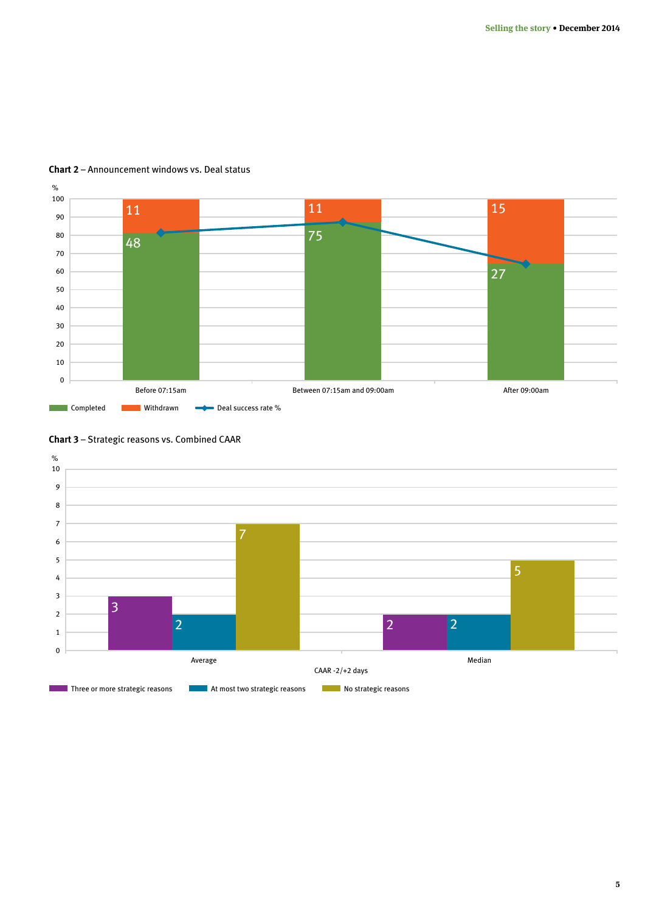

#### **Chart 2** – Announcement windows vs. Deal status



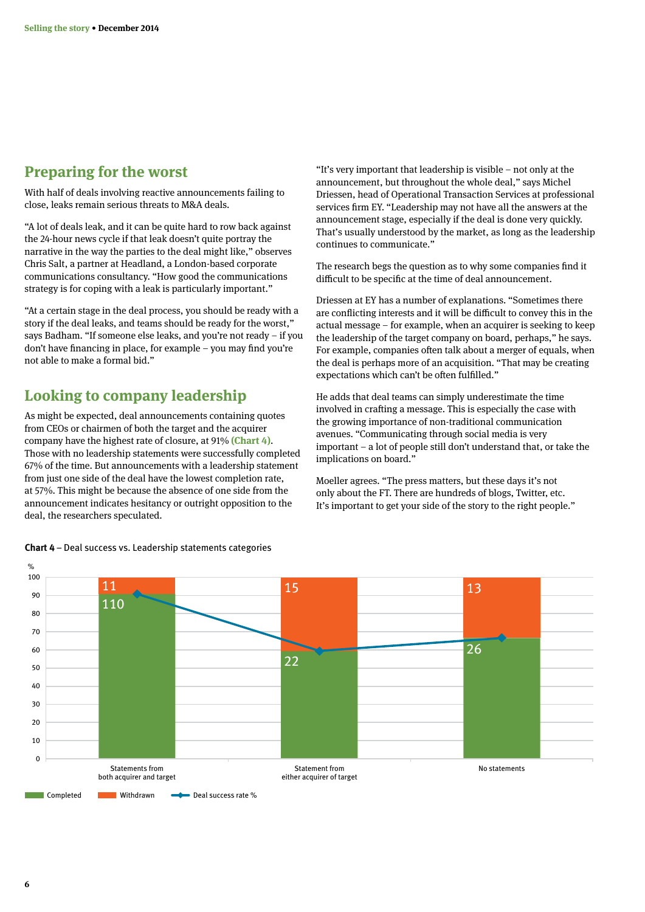## **Preparing for the worst**

With half of deals involving reactive announcements failing to close, leaks remain serious threats to M&A deals.

"A lot of deals leak, and it can be quite hard to row back against the 24-hour news cycle if that leak doesn't quite portray the narrative in the way the parties to the deal might like," observes Chris Salt, a partner at Headland, a London-based corporate communications consultancy. "How good the communications strategy is for coping with a leak is particularly important."

"At a certain stage in the deal process, you should be ready with a story if the deal leaks, and teams should be ready for the worst," says Badham. "If someone else leaks, and you're not ready – if you don't have financing in place, for example – you may find you're not able to make a formal bid."

## **Looking to company leadership**

As might be expected, deal announcements containing quotes from CEOs or chairmen of both the target and the acquirer company have the highest rate of closure, at 91% **(Chart 4)**. Those with no leadership statements were successfully completed 67% of the time. But announcements with a leadership statement from just one side of the deal have the lowest completion rate, at 57%. This might be because the absence of one side from the announcement indicates hesitancy or outright opposition to the deal, the researchers speculated.

"It's very important that leadership is visible – not only at the announcement, but throughout the whole deal," says Michel Driessen, head of Operational Transaction Services at professional services firm EY. "Leadership may not have all the answers at the announcement stage, especially if the deal is done very quickly. That's usually understood by the market, as long as the leadership continues to communicate."

The research begs the question as to why some companies find it difficult to be specific at the time of deal announcement.

Driessen at EY has a number of explanations. "Sometimes there are conflicting interests and it will be difficult to convey this in the actual message – for example, when an acquirer is seeking to keep the leadership of the target company on board, perhaps," he says. For example, companies often talk about a merger of equals, when the deal is perhaps more of an acquisition. "That may be creating expectations which can't be often fulfilled."

He adds that deal teams can simply underestimate the time involved in crafting a message. This is especially the case with the growing importance of non-traditional communication avenues. "Communicating through social media is very important – a lot of people still don't understand that, or take the implications on board."

Moeller agrees. "The press matters, but these days it's not only about the FT. There are hundreds of blogs, Twitter, etc. It's important to get your side of the story to the right people."



#### **Chart 4** – Deal success vs. Leadership statements categories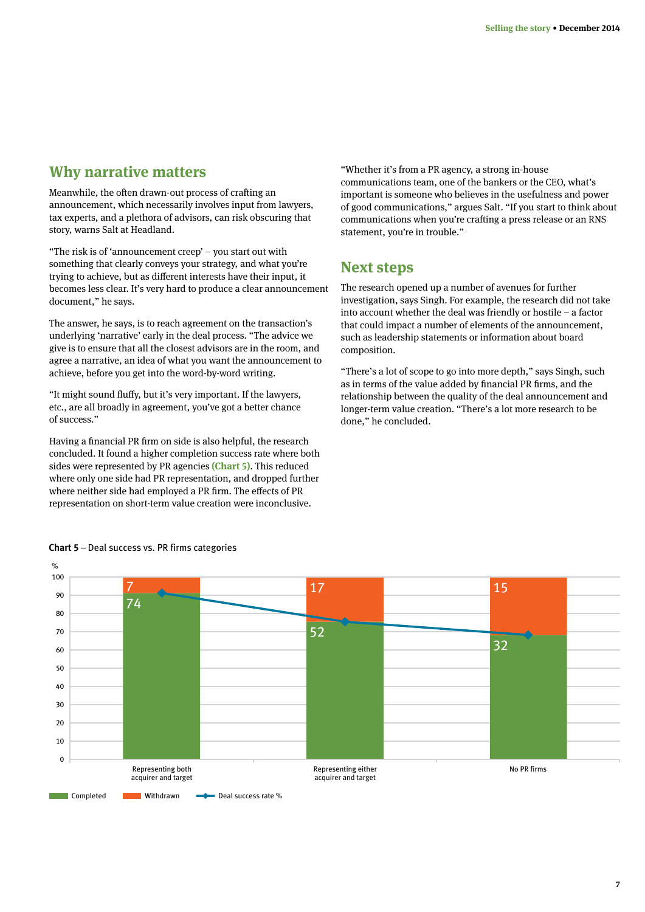## **Why narrative matters**

Meanwhile, the often drawn-out process of crafting an announcement, which necessarily involves input from lawyers, tax experts, and a plethora of advisors, can risk obscuring that story, warns Salt at Headland.

"The risk is of 'announcement creep' – you start out with something that clearly conveys your strategy, and what you're trying to achieve, but as different interests have their input, it becomes less clear. It's very hard to produce a clear announcement document," he says.

The answer, he says, is to reach agreement on the transaction's underlying 'narrative' early in the deal process. "The advice we give is to ensure that all the closest advisors are in the room, and agree a narrative, an idea of what you want the announcement to achieve, before you get into the word-by-word writing.

"It might sound fluffy, but it's very important. If the lawyers, etc., are all broadly in agreement, you've got a better chance of success."

Having a financial PR firm on side is also helpful, the research concluded. It found a higher completion success rate where both sides were represented by PR agencies **(Chart 5)**. This reduced where only one side had PR representation, and dropped further where neither side had employed a PR firm. The effects of PR representation on short-term value creation were inconclusive.

"Whether it's from a PR agency, a strong in-house communications team, one of the bankers or the CEO, what's important is someone who believes in the usefulness and power of good communications," argues Salt. "If you start to think about communications when you're crafting a press release or an RNS statement, you're in trouble."

## **Next steps**

The research opened up a number of avenues for further investigation, says Singh. For example, the research did not take into account whether the deal was friendly or hostile – a factor that could impact a number of elements of the announcement, such as leadership statements or information about board composition.

"There's a lot of scope to go into more depth," says Singh, such as in terms of the value added by financial PR firms, and the relationship between the quality of the deal announcement and longer-term value creation. "There's a lot more research to be done," he concluded.



#### **Chart 5** – Deal success vs. PR firms categories